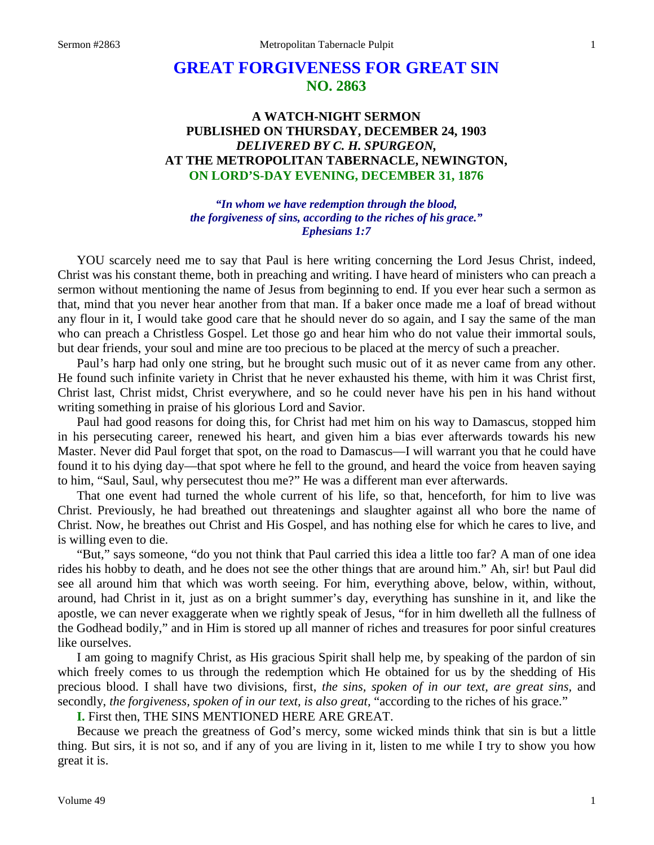# **GREAT FORGIVENESS FOR GREAT SIN NO. 2863**

# **A WATCH-NIGHT SERMON PUBLISHED ON THURSDAY, DECEMBER 24, 1903** *DELIVERED BY C. H. SPURGEON,* **AT THE METROPOLITAN TABERNACLE, NEWINGTON, ON LORD'S-DAY EVENING, DECEMBER 31, 1876**

*"In whom we have redemption through the blood, the forgiveness of sins, according to the riches of his grace." Ephesians 1:7*

YOU scarcely need me to say that Paul is here writing concerning the Lord Jesus Christ, indeed, Christ was his constant theme, both in preaching and writing. I have heard of ministers who can preach a sermon without mentioning the name of Jesus from beginning to end. If you ever hear such a sermon as that, mind that you never hear another from that man. If a baker once made me a loaf of bread without any flour in it, I would take good care that he should never do so again, and I say the same of the man who can preach a Christless Gospel. Let those go and hear him who do not value their immortal souls, but dear friends, your soul and mine are too precious to be placed at the mercy of such a preacher.

Paul's harp had only one string, but he brought such music out of it as never came from any other. He found such infinite variety in Christ that he never exhausted his theme, with him it was Christ first, Christ last, Christ midst, Christ everywhere, and so he could never have his pen in his hand without writing something in praise of his glorious Lord and Savior.

Paul had good reasons for doing this, for Christ had met him on his way to Damascus, stopped him in his persecuting career, renewed his heart, and given him a bias ever afterwards towards his new Master. Never did Paul forget that spot, on the road to Damascus—I will warrant you that he could have found it to his dying day—that spot where he fell to the ground, and heard the voice from heaven saying to him, "Saul, Saul, why persecutest thou me?" He was a different man ever afterwards.

That one event had turned the whole current of his life, so that, henceforth, for him to live was Christ. Previously, he had breathed out threatenings and slaughter against all who bore the name of Christ. Now, he breathes out Christ and His Gospel, and has nothing else for which he cares to live, and is willing even to die.

"But," says someone, "do you not think that Paul carried this idea a little too far? A man of one idea rides his hobby to death, and he does not see the other things that are around him." Ah, sir! but Paul did see all around him that which was worth seeing. For him, everything above, below, within, without, around, had Christ in it, just as on a bright summer's day, everything has sunshine in it, and like the apostle, we can never exaggerate when we rightly speak of Jesus, "for in him dwelleth all the fullness of the Godhead bodily," and in Him is stored up all manner of riches and treasures for poor sinful creatures like ourselves.

I am going to magnify Christ, as His gracious Spirit shall help me, by speaking of the pardon of sin which freely comes to us through the redemption which He obtained for us by the shedding of His precious blood. I shall have two divisions, first, *the sins, spoken of in our text, are great sins,* and secondly, *the forgiveness, spoken of in our text, is also great,* "according to the riches of his grace."

**I.** First then, THE SINS MENTIONED HERE ARE GREAT.

Because we preach the greatness of God's mercy, some wicked minds think that sin is but a little thing. But sirs, it is not so, and if any of you are living in it, listen to me while I try to show you how great it is.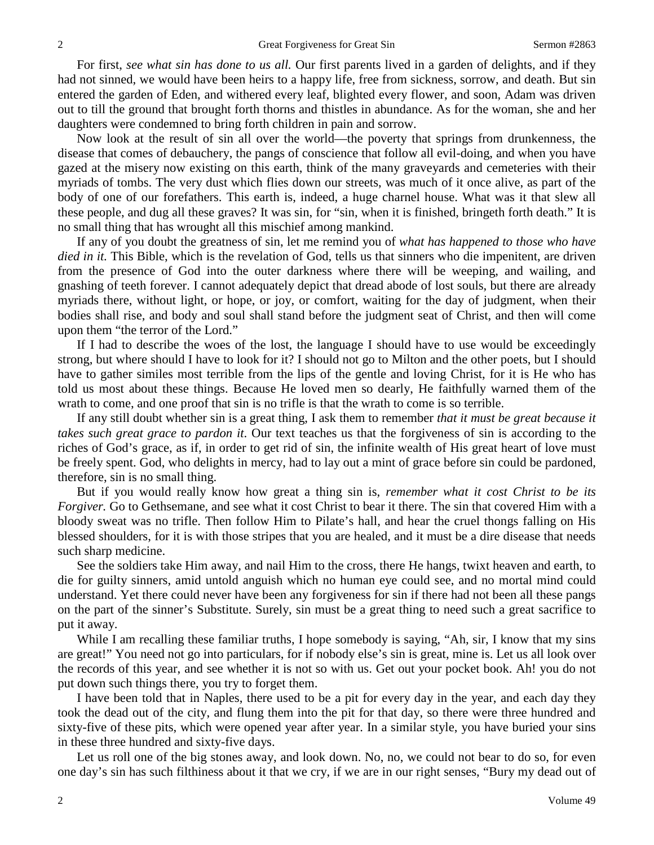For first, *see what sin has done to us all.* Our first parents lived in a garden of delights, and if they had not sinned, we would have been heirs to a happy life, free from sickness, sorrow, and death. But sin entered the garden of Eden, and withered every leaf, blighted every flower, and soon, Adam was driven out to till the ground that brought forth thorns and thistles in abundance. As for the woman, she and her daughters were condemned to bring forth children in pain and sorrow.

Now look at the result of sin all over the world—the poverty that springs from drunkenness, the disease that comes of debauchery, the pangs of conscience that follow all evil-doing, and when you have gazed at the misery now existing on this earth, think of the many graveyards and cemeteries with their myriads of tombs. The very dust which flies down our streets, was much of it once alive, as part of the body of one of our forefathers. This earth is, indeed, a huge charnel house. What was it that slew all these people, and dug all these graves? It was sin, for "sin, when it is finished, bringeth forth death." It is no small thing that has wrought all this mischief among mankind.

If any of you doubt the greatness of sin, let me remind you of *what has happened to those who have died in it.* This Bible, which is the revelation of God, tells us that sinners who die impenitent, are driven from the presence of God into the outer darkness where there will be weeping, and wailing, and gnashing of teeth forever. I cannot adequately depict that dread abode of lost souls, but there are already myriads there, without light, or hope, or joy, or comfort, waiting for the day of judgment, when their bodies shall rise, and body and soul shall stand before the judgment seat of Christ, and then will come upon them "the terror of the Lord."

If I had to describe the woes of the lost, the language I should have to use would be exceedingly strong, but where should I have to look for it? I should not go to Milton and the other poets, but I should have to gather similes most terrible from the lips of the gentle and loving Christ, for it is He who has told us most about these things. Because He loved men so dearly, He faithfully warned them of the wrath to come, and one proof that sin is no trifle is that the wrath to come is so terrible.

If any still doubt whether sin is a great thing, I ask them to remember *that it must be great because it takes such great grace to pardon it*. Our text teaches us that the forgiveness of sin is according to the riches of God's grace, as if, in order to get rid of sin, the infinite wealth of His great heart of love must be freely spent. God, who delights in mercy, had to lay out a mint of grace before sin could be pardoned, therefore, sin is no small thing.

But if you would really know how great a thing sin is, *remember what it cost Christ to be its Forgiver.* Go to Gethsemane, and see what it cost Christ to bear it there. The sin that covered Him with a bloody sweat was no trifle. Then follow Him to Pilate's hall, and hear the cruel thongs falling on His blessed shoulders, for it is with those stripes that you are healed, and it must be a dire disease that needs such sharp medicine.

See the soldiers take Him away, and nail Him to the cross, there He hangs, twixt heaven and earth, to die for guilty sinners, amid untold anguish which no human eye could see, and no mortal mind could understand. Yet there could never have been any forgiveness for sin if there had not been all these pangs on the part of the sinner's Substitute. Surely, sin must be a great thing to need such a great sacrifice to put it away.

While I am recalling these familiar truths, I hope somebody is saying, "Ah, sir, I know that my sins are great!" You need not go into particulars, for if nobody else's sin is great, mine is. Let us all look over the records of this year, and see whether it is not so with us. Get out your pocket book. Ah! you do not put down such things there, you try to forget them.

I have been told that in Naples, there used to be a pit for every day in the year, and each day they took the dead out of the city, and flung them into the pit for that day, so there were three hundred and sixty-five of these pits, which were opened year after year. In a similar style, you have buried your sins in these three hundred and sixty-five days.

Let us roll one of the big stones away, and look down. No, no, we could not bear to do so, for even one day's sin has such filthiness about it that we cry, if we are in our right senses, "Bury my dead out of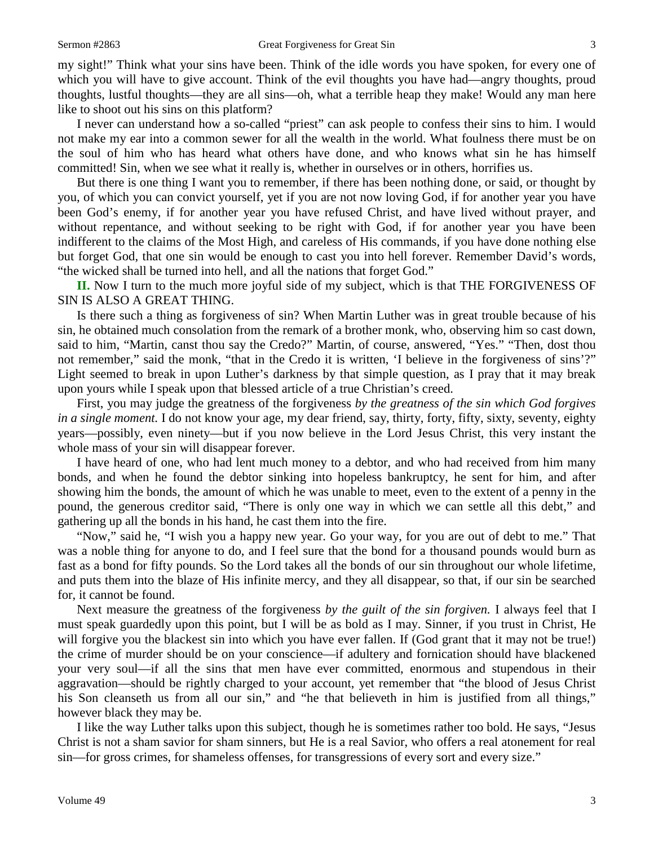my sight!" Think what your sins have been. Think of the idle words you have spoken, for every one of which you will have to give account. Think of the evil thoughts you have had—angry thoughts, proud thoughts, lustful thoughts—they are all sins—oh, what a terrible heap they make! Would any man here like to shoot out his sins on this platform?

I never can understand how a so-called "priest" can ask people to confess their sins to him. I would not make my ear into a common sewer for all the wealth in the world. What foulness there must be on the soul of him who has heard what others have done, and who knows what sin he has himself committed! Sin, when we see what it really is, whether in ourselves or in others, horrifies us.

But there is one thing I want you to remember, if there has been nothing done, or said, or thought by you, of which you can convict yourself, yet if you are not now loving God, if for another year you have been God's enemy, if for another year you have refused Christ, and have lived without prayer, and without repentance, and without seeking to be right with God, if for another year you have been indifferent to the claims of the Most High, and careless of His commands, if you have done nothing else but forget God, that one sin would be enough to cast you into hell forever. Remember David's words, "the wicked shall be turned into hell, and all the nations that forget God."

**II.** Now I turn to the much more joyful side of my subject, which is that THE FORGIVENESS OF SIN IS ALSO A GREAT THING.

Is there such a thing as forgiveness of sin? When Martin Luther was in great trouble because of his sin, he obtained much consolation from the remark of a brother monk, who, observing him so cast down, said to him, "Martin, canst thou say the Credo?" Martin, of course, answered, "Yes." "Then, dost thou not remember," said the monk, "that in the Credo it is written, 'I believe in the forgiveness of sins'?" Light seemed to break in upon Luther's darkness by that simple question, as I pray that it may break upon yours while I speak upon that blessed article of a true Christian's creed.

First, you may judge the greatness of the forgiveness *by the greatness of the sin which God forgives in a single moment.* I do not know your age, my dear friend, say, thirty, forty, fifty, sixty, seventy, eighty years—possibly, even ninety—but if you now believe in the Lord Jesus Christ, this very instant the whole mass of your sin will disappear forever.

I have heard of one, who had lent much money to a debtor, and who had received from him many bonds, and when he found the debtor sinking into hopeless bankruptcy, he sent for him, and after showing him the bonds, the amount of which he was unable to meet, even to the extent of a penny in the pound, the generous creditor said, "There is only one way in which we can settle all this debt," and gathering up all the bonds in his hand, he cast them into the fire.

"Now," said he, "I wish you a happy new year. Go your way, for you are out of debt to me." That was a noble thing for anyone to do, and I feel sure that the bond for a thousand pounds would burn as fast as a bond for fifty pounds. So the Lord takes all the bonds of our sin throughout our whole lifetime, and puts them into the blaze of His infinite mercy, and they all disappear, so that, if our sin be searched for, it cannot be found.

Next measure the greatness of the forgiveness *by the guilt of the sin forgiven.* I always feel that I must speak guardedly upon this point, but I will be as bold as I may. Sinner, if you trust in Christ, He will forgive you the blackest sin into which you have ever fallen. If (God grant that it may not be true!) the crime of murder should be on your conscience—if adultery and fornication should have blackened your very soul—if all the sins that men have ever committed, enormous and stupendous in their aggravation—should be rightly charged to your account, yet remember that "the blood of Jesus Christ his Son cleanseth us from all our sin," and "he that believeth in him is justified from all things," however black they may be.

I like the way Luther talks upon this subject, though he is sometimes rather too bold. He says, "Jesus Christ is not a sham savior for sham sinners, but He is a real Savior, who offers a real atonement for real sin—for gross crimes, for shameless offenses, for transgressions of every sort and every size."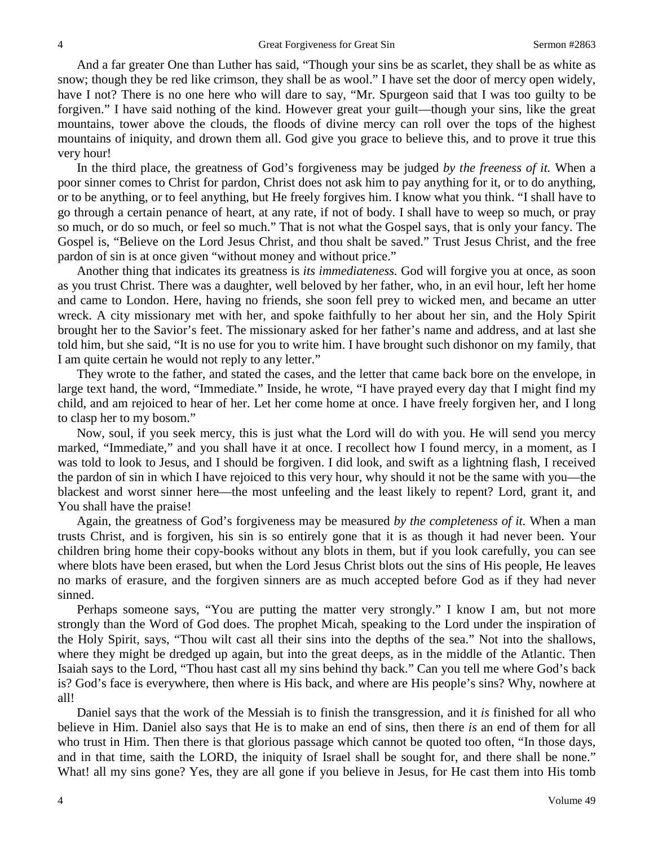And a far greater One than Luther has said, "Though your sins be as scarlet, they shall be as white as snow; though they be red like crimson, they shall be as wool." I have set the door of mercy open widely, have I not? There is no one here who will dare to say, "Mr. Spurgeon said that I was too guilty to be forgiven." I have said nothing of the kind. However great your guilt—though your sins, like the great mountains, tower above the clouds, the floods of divine mercy can roll over the tops of the highest mountains of iniquity, and drown them all. God give you grace to believe this, and to prove it true this very hour!

In the third place, the greatness of God's forgiveness may be judged *by the freeness of it.* When a poor sinner comes to Christ for pardon, Christ does not ask him to pay anything for it, or to do anything, or to be anything, or to feel anything, but He freely forgives him. I know what you think. "I shall have to go through a certain penance of heart, at any rate, if not of body. I shall have to weep so much, or pray so much, or do so much, or feel so much." That is not what the Gospel says, that is only your fancy. The Gospel is, "Believe on the Lord Jesus Christ, and thou shalt be saved." Trust Jesus Christ, and the free pardon of sin is at once given "without money and without price."

Another thing that indicates its greatness is *its immediateness.* God will forgive you at once, as soon as you trust Christ. There was a daughter, well beloved by her father, who, in an evil hour, left her home and came to London. Here, having no friends, she soon fell prey to wicked men, and became an utter wreck. A city missionary met with her, and spoke faithfully to her about her sin, and the Holy Spirit brought her to the Savior's feet. The missionary asked for her father's name and address, and at last she told him, but she said, "It is no use for you to write him. I have brought such dishonor on my family, that I am quite certain he would not reply to any letter."

They wrote to the father, and stated the cases, and the letter that came back bore on the envelope, in large text hand, the word, "Immediate." Inside, he wrote, "I have prayed every day that I might find my child, and am rejoiced to hear of her. Let her come home at once. I have freely forgiven her, and I long to clasp her to my bosom."

Now, soul, if you seek mercy, this is just what the Lord will do with you. He will send you mercy marked, "Immediate," and you shall have it at once. I recollect how I found mercy, in a moment, as I was told to look to Jesus, and I should be forgiven. I did look, and swift as a lightning flash, I received the pardon of sin in which I have rejoiced to this very hour, why should it not be the same with you—the blackest and worst sinner here—the most unfeeling and the least likely to repent? Lord, grant it, and You shall have the praise!

Again, the greatness of God's forgiveness may be measured *by the completeness of it.* When a man trusts Christ, and is forgiven, his sin is so entirely gone that it is as though it had never been. Your children bring home their copy-books without any blots in them, but if you look carefully, you can see where blots have been erased, but when the Lord Jesus Christ blots out the sins of His people, He leaves no marks of erasure, and the forgiven sinners are as much accepted before God as if they had never sinned.

Perhaps someone says, "You are putting the matter very strongly." I know I am, but not more strongly than the Word of God does. The prophet Micah, speaking to the Lord under the inspiration of the Holy Spirit, says, "Thou wilt cast all their sins into the depths of the sea." Not into the shallows, where they might be dredged up again, but into the great deeps, as in the middle of the Atlantic. Then Isaiah says to the Lord, "Thou hast cast all my sins behind thy back." Can you tell me where God's back is? God's face is everywhere, then where is His back, and where are His people's sins? Why, nowhere at all!

Daniel says that the work of the Messiah is to finish the transgression, and it *is* finished for all who believe in Him. Daniel also says that He is to make an end of sins, then there *is* an end of them for all who trust in Him. Then there is that glorious passage which cannot be quoted too often, "In those days, and in that time, saith the LORD, the iniquity of Israel shall be sought for, and there shall be none." What! all my sins gone? Yes, they are all gone if you believe in Jesus, for He cast them into His tomb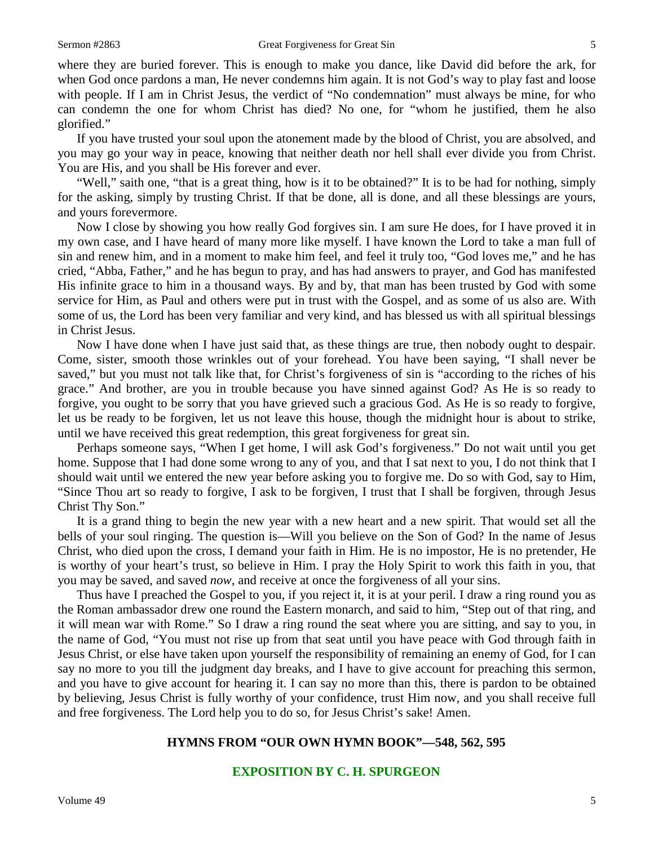where they are buried forever. This is enough to make you dance, like David did before the ark, for when God once pardons a man, He never condemns him again. It is not God's way to play fast and loose with people. If I am in Christ Jesus, the verdict of "No condemnation" must always be mine, for who can condemn the one for whom Christ has died? No one, for "whom he justified, them he also glorified."

If you have trusted your soul upon the atonement made by the blood of Christ, you are absolved, and you may go your way in peace, knowing that neither death nor hell shall ever divide you from Christ. You are His, and you shall be His forever and ever.

"Well," saith one, "that is a great thing, how is it to be obtained?" It is to be had for nothing, simply for the asking, simply by trusting Christ. If that be done, all is done, and all these blessings are yours, and yours forevermore.

Now I close by showing you how really God forgives sin. I am sure He does, for I have proved it in my own case, and I have heard of many more like myself. I have known the Lord to take a man full of sin and renew him, and in a moment to make him feel, and feel it truly too, "God loves me," and he has cried, "Abba, Father," and he has begun to pray, and has had answers to prayer, and God has manifested His infinite grace to him in a thousand ways. By and by, that man has been trusted by God with some service for Him, as Paul and others were put in trust with the Gospel, and as some of us also are. With some of us, the Lord has been very familiar and very kind, and has blessed us with all spiritual blessings in Christ Jesus.

Now I have done when I have just said that, as these things are true, then nobody ought to despair. Come, sister, smooth those wrinkles out of your forehead. You have been saying, "I shall never be saved," but you must not talk like that, for Christ's forgiveness of sin is "according to the riches of his grace." And brother, are you in trouble because you have sinned against God? As He is so ready to forgive, you ought to be sorry that you have grieved such a gracious God. As He is so ready to forgive, let us be ready to be forgiven, let us not leave this house, though the midnight hour is about to strike, until we have received this great redemption, this great forgiveness for great sin.

Perhaps someone says, "When I get home, I will ask God's forgiveness." Do not wait until you get home. Suppose that I had done some wrong to any of you, and that I sat next to you, I do not think that I should wait until we entered the new year before asking you to forgive me. Do so with God, say to Him, "Since Thou art so ready to forgive, I ask to be forgiven, I trust that I shall be forgiven, through Jesus Christ Thy Son."

It is a grand thing to begin the new year with a new heart and a new spirit. That would set all the bells of your soul ringing. The question is—Will you believe on the Son of God? In the name of Jesus Christ, who died upon the cross, I demand your faith in Him. He is no impostor, He is no pretender, He is worthy of your heart's trust, so believe in Him. I pray the Holy Spirit to work this faith in you, that you may be saved, and saved *now,* and receive at once the forgiveness of all your sins.

Thus have I preached the Gospel to you, if you reject it, it is at your peril. I draw a ring round you as the Roman ambassador drew one round the Eastern monarch, and said to him, "Step out of that ring, and it will mean war with Rome." So I draw a ring round the seat where you are sitting, and say to you, in the name of God, "You must not rise up from that seat until you have peace with God through faith in Jesus Christ, or else have taken upon yourself the responsibility of remaining an enemy of God, for I can say no more to you till the judgment day breaks, and I have to give account for preaching this sermon, and you have to give account for hearing it. I can say no more than this, there is pardon to be obtained by believing, Jesus Christ is fully worthy of your confidence, trust Him now, and you shall receive full and free forgiveness. The Lord help you to do so, for Jesus Christ's sake! Amen.

#### **HYMNS FROM "OUR OWN HYMN BOOK"—548, 562, 595**

#### **EXPOSITION BY C. H. SPURGEON**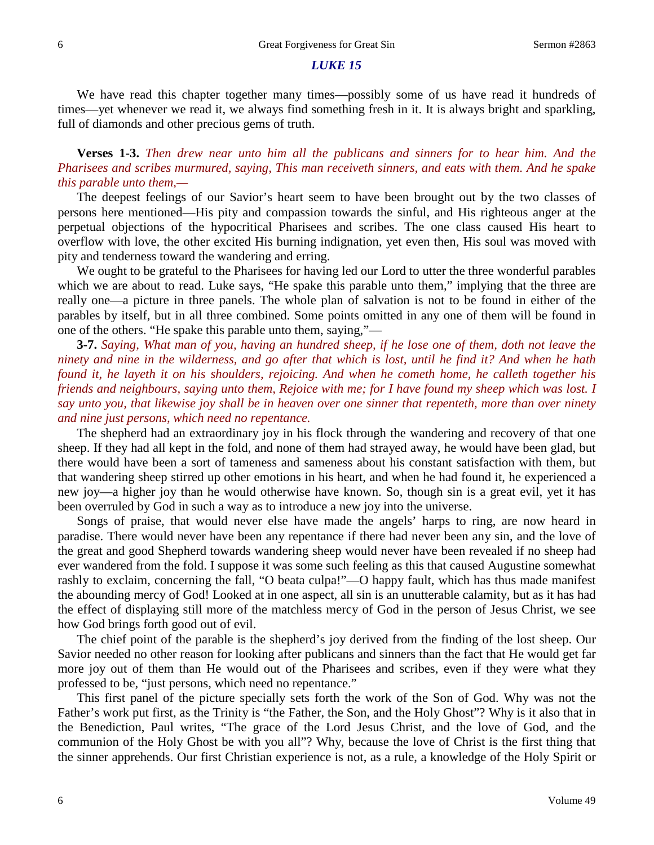#### *LUKE 15*

We have read this chapter together many times—possibly some of us have read it hundreds of times—yet whenever we read it, we always find something fresh in it. It is always bright and sparkling, full of diamonds and other precious gems of truth.

**Verses 1-3.** *Then drew near unto him all the publicans and sinners for to hear him. And the Pharisees and scribes murmured, saying, This man receiveth sinners, and eats with them. And he spake this parable unto them,—*

The deepest feelings of our Savior's heart seem to have been brought out by the two classes of persons here mentioned—His pity and compassion towards the sinful, and His righteous anger at the perpetual objections of the hypocritical Pharisees and scribes. The one class caused His heart to overflow with love, the other excited His burning indignation, yet even then, His soul was moved with pity and tenderness toward the wandering and erring.

We ought to be grateful to the Pharisees for having led our Lord to utter the three wonderful parables which we are about to read. Luke says, "He spake this parable unto them," implying that the three are really one—a picture in three panels. The whole plan of salvation is not to be found in either of the parables by itself, but in all three combined. Some points omitted in any one of them will be found in one of the others. "He spake this parable unto them, saying,"—

**3-7.** *Saying, What man of you, having an hundred sheep, if he lose one of them, doth not leave the ninety and nine in the wilderness, and go after that which is lost, until he find it? And when he hath found it, he layeth it on his shoulders, rejoicing. And when he cometh home, he calleth together his friends and neighbours, saying unto them, Rejoice with me; for I have found my sheep which was lost. I say unto you, that likewise joy shall be in heaven over one sinner that repenteth, more than over ninety and nine just persons, which need no repentance.*

The shepherd had an extraordinary joy in his flock through the wandering and recovery of that one sheep. If they had all kept in the fold, and none of them had strayed away, he would have been glad, but there would have been a sort of tameness and sameness about his constant satisfaction with them, but that wandering sheep stirred up other emotions in his heart, and when he had found it, he experienced a new joy—a higher joy than he would otherwise have known. So, though sin is a great evil, yet it has been overruled by God in such a way as to introduce a new joy into the universe.

Songs of praise, that would never else have made the angels' harps to ring, are now heard in paradise. There would never have been any repentance if there had never been any sin, and the love of the great and good Shepherd towards wandering sheep would never have been revealed if no sheep had ever wandered from the fold. I suppose it was some such feeling as this that caused Augustine somewhat rashly to exclaim, concerning the fall, "O beata culpa!"—O happy fault, which has thus made manifest the abounding mercy of God! Looked at in one aspect, all sin is an unutterable calamity, but as it has had the effect of displaying still more of the matchless mercy of God in the person of Jesus Christ, we see how God brings forth good out of evil.

The chief point of the parable is the shepherd's joy derived from the finding of the lost sheep. Our Savior needed no other reason for looking after publicans and sinners than the fact that He would get far more joy out of them than He would out of the Pharisees and scribes, even if they were what they professed to be, "just persons, which need no repentance."

This first panel of the picture specially sets forth the work of the Son of God. Why was not the Father's work put first, as the Trinity is "the Father, the Son, and the Holy Ghost"? Why is it also that in the Benediction, Paul writes, "The grace of the Lord Jesus Christ, and the love of God, and the communion of the Holy Ghost be with you all"? Why, because the love of Christ is the first thing that the sinner apprehends. Our first Christian experience is not, as a rule, a knowledge of the Holy Spirit or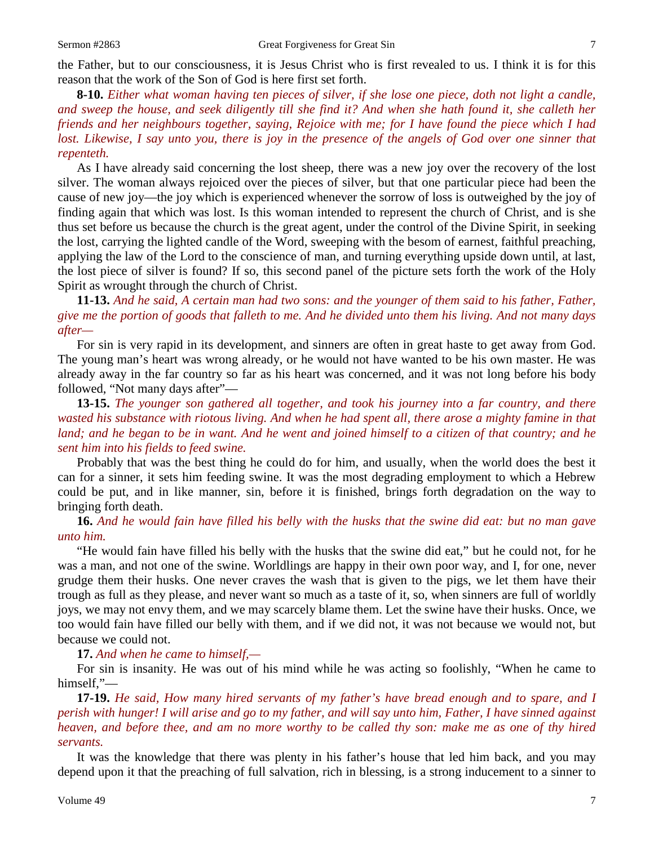the Father, but to our consciousness, it is Jesus Christ who is first revealed to us. I think it is for this reason that the work of the Son of God is here first set forth.

**8-10.** *Either what woman having ten pieces of silver, if she lose one piece, doth not light a candle, and sweep the house, and seek diligently till she find it? And when she hath found it, she calleth her friends and her neighbours together, saying, Rejoice with me; for I have found the piece which I had lost. Likewise, I say unto you, there is joy in the presence of the angels of God over one sinner that repenteth.*

As I have already said concerning the lost sheep, there was a new joy over the recovery of the lost silver. The woman always rejoiced over the pieces of silver, but that one particular piece had been the cause of new joy—the joy which is experienced whenever the sorrow of loss is outweighed by the joy of finding again that which was lost. Is this woman intended to represent the church of Christ, and is she thus set before us because the church is the great agent, under the control of the Divine Spirit, in seeking the lost, carrying the lighted candle of the Word, sweeping with the besom of earnest, faithful preaching, applying the law of the Lord to the conscience of man, and turning everything upside down until, at last, the lost piece of silver is found? If so, this second panel of the picture sets forth the work of the Holy Spirit as wrought through the church of Christ.

**11-13.** *And he said, A certain man had two sons: and the younger of them said to his father, Father, give me the portion of goods that falleth to me. And he divided unto them his living. And not many days after—*

For sin is very rapid in its development, and sinners are often in great haste to get away from God. The young man's heart was wrong already, or he would not have wanted to be his own master. He was already away in the far country so far as his heart was concerned, and it was not long before his body followed, "Not many days after"—

**13-15.** *The younger son gathered all together, and took his journey into a far country, and there wasted his substance with riotous living. And when he had spent all, there arose a mighty famine in that land; and he began to be in want. And he went and joined himself to a citizen of that country; and he sent him into his fields to feed swine.*

Probably that was the best thing he could do for him, and usually, when the world does the best it can for a sinner, it sets him feeding swine. It was the most degrading employment to which a Hebrew could be put, and in like manner, sin, before it is finished, brings forth degradation on the way to bringing forth death.

**16.** *And he would fain have filled his belly with the husks that the swine did eat: but no man gave unto him.*

"He would fain have filled his belly with the husks that the swine did eat," but he could not, for he was a man, and not one of the swine. Worldlings are happy in their own poor way, and I, for one, never grudge them their husks. One never craves the wash that is given to the pigs, we let them have their trough as full as they please, and never want so much as a taste of it, so, when sinners are full of worldly joys, we may not envy them, and we may scarcely blame them. Let the swine have their husks. Once, we too would fain have filled our belly with them, and if we did not, it was not because we would not, but because we could not.

**17.** *And when he came to himself,—*

For sin is insanity. He was out of his mind while he was acting so foolishly, "When he came to himself,"—

**17-19.** *He said, How many hired servants of my father's have bread enough and to spare, and I perish with hunger! I will arise and go to my father, and will say unto him, Father, I have sinned against heaven, and before thee, and am no more worthy to be called thy son: make me as one of thy hired servants.*

It was the knowledge that there was plenty in his father's house that led him back, and you may depend upon it that the preaching of full salvation, rich in blessing, is a strong inducement to a sinner to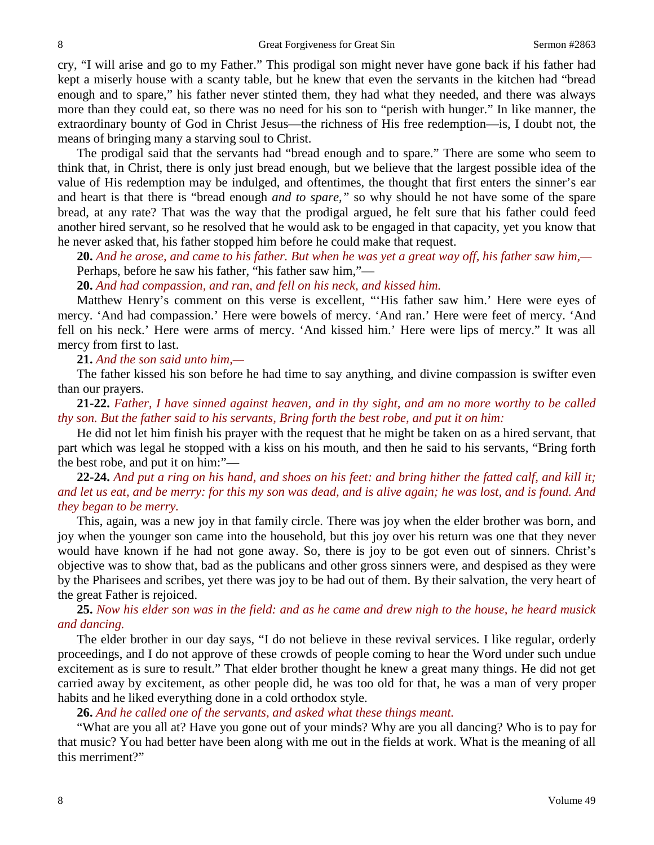cry, "I will arise and go to my Father." This prodigal son might never have gone back if his father had kept a miserly house with a scanty table, but he knew that even the servants in the kitchen had "bread enough and to spare," his father never stinted them, they had what they needed, and there was always more than they could eat, so there was no need for his son to "perish with hunger." In like manner, the extraordinary bounty of God in Christ Jesus—the richness of His free redemption—is, I doubt not, the means of bringing many a starving soul to Christ.

The prodigal said that the servants had "bread enough and to spare." There are some who seem to think that, in Christ, there is only just bread enough, but we believe that the largest possible idea of the value of His redemption may be indulged, and oftentimes, the thought that first enters the sinner's ear and heart is that there is "bread enough *and to spare,"* so why should he not have some of the spare bread, at any rate? That was the way that the prodigal argued, he felt sure that his father could feed another hired servant, so he resolved that he would ask to be engaged in that capacity, yet you know that he never asked that, his father stopped him before he could make that request.

**20.** *And he arose, and came to his father. But when he was yet a great way off, his father saw him,—* Perhaps, before he saw his father, "his father saw him,"—

**20.** *And had compassion, and ran, and fell on his neck, and kissed him.*

Matthew Henry's comment on this verse is excellent, "'His father saw him.' Here were eyes of mercy. 'And had compassion.' Here were bowels of mercy. 'And ran.' Here were feet of mercy. 'And fell on his neck.' Here were arms of mercy. 'And kissed him.' Here were lips of mercy." It was all mercy from first to last.

**21.** *And the son said unto him,—*

The father kissed his son before he had time to say anything, and divine compassion is swifter even than our prayers.

**21-22.** *Father, I have sinned against heaven, and in thy sight, and am no more worthy to be called thy son. But the father said to his servants, Bring forth the best robe, and put it on him:*

He did not let him finish his prayer with the request that he might be taken on as a hired servant, that part which was legal he stopped with a kiss on his mouth, and then he said to his servants, "Bring forth the best robe, and put it on him:"—

**22-24.** *And put a ring on his hand, and shoes on his feet: and bring hither the fatted calf, and kill it; and let us eat, and be merry: for this my son was dead, and is alive again; he was lost, and is found. And they began to be merry.*

This, again, was a new joy in that family circle. There was joy when the elder brother was born, and joy when the younger son came into the household, but this joy over his return was one that they never would have known if he had not gone away. So, there is joy to be got even out of sinners. Christ's objective was to show that, bad as the publicans and other gross sinners were, and despised as they were by the Pharisees and scribes, yet there was joy to be had out of them. By their salvation, the very heart of the great Father is rejoiced.

## **25.** *Now his elder son was in the field: and as he came and drew nigh to the house, he heard musick and dancing.*

The elder brother in our day says, "I do not believe in these revival services. I like regular, orderly proceedings, and I do not approve of these crowds of people coming to hear the Word under such undue excitement as is sure to result." That elder brother thought he knew a great many things. He did not get carried away by excitement, as other people did, he was too old for that, he was a man of very proper habits and he liked everything done in a cold orthodox style.

**26.** *And he called one of the servants, and asked what these things meant.*

"What are you all at? Have you gone out of your minds? Why are you all dancing? Who is to pay for that music? You had better have been along with me out in the fields at work. What is the meaning of all this merriment?"